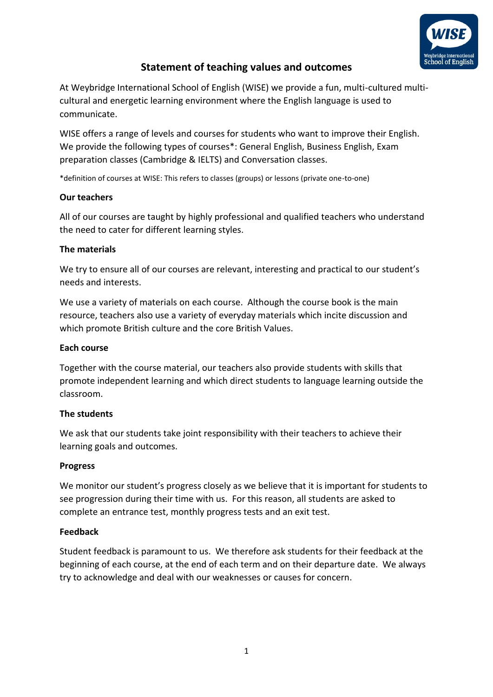

# **Statement of teaching values and outcomes**

At Weybridge International School of English (WISE) we provide a fun, multi-cultured multicultural and energetic learning environment where the English language is used to communicate.

WISE offers a range of levels and courses for students who want to improve their English. We provide the following types of courses\*: General English, Business English, Exam preparation classes (Cambridge & IELTS) and Conversation classes.

\*definition of courses at WISE: This refers to classes (groups) or lessons (private one-to-one)

## **Our teachers**

All of our courses are taught by highly professional and qualified teachers who understand the need to cater for different learning styles.

## **The materials**

We try to ensure all of our courses are relevant, interesting and practical to our student's needs and interests.

We use a variety of materials on each course. Although the course book is the main resource, teachers also use a variety of everyday materials which incite discussion and which promote British culture and the core British Values.

## **Each course**

Together with the course material, our teachers also provide students with skills that promote independent learning and which direct students to language learning outside the classroom.

## **The students**

We ask that our students take joint responsibility with their teachers to achieve their learning goals and outcomes.

## **Progress**

We monitor our student's progress closely as we believe that it is important for students to see progression during their time with us. For this reason, all students are asked to complete an entrance test, monthly progress tests and an exit test.

## **Feedback**

Student feedback is paramount to us. We therefore ask students for their feedback at the beginning of each course, at the end of each term and on their departure date. We always try to acknowledge and deal with our weaknesses or causes for concern.